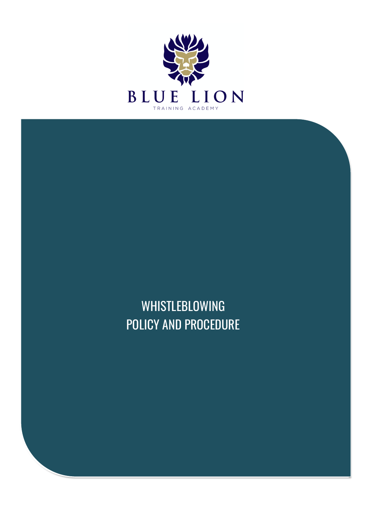

WHISTLEBLOWING POLICY AND PROCEDURE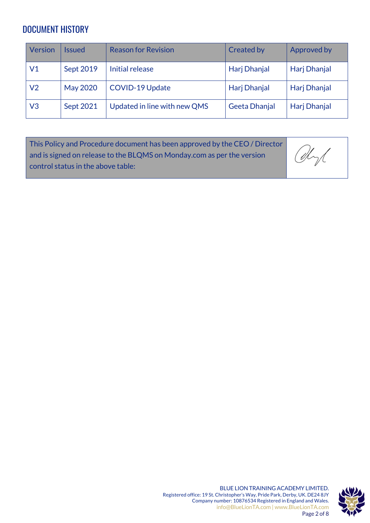### DOCUMENT HISTORY

| <b>Version</b> | lssued          | <b>Reason for Revision</b>   | <b>Created by</b> | Approved by  |
|----------------|-----------------|------------------------------|-------------------|--------------|
| V1             | Sept 2019       | Initial release              | Harj Dhanjal      | Harj Dhanjal |
| V2             | <b>May 2020</b> | <b>COVID-19 Update</b>       | Harj Dhanjal      | Harj Dhanjal |
| V3             | Sept 2021       | Updated in line with new QMS | Geeta Dhanjal     | Harj Dhanjal |

| This Policy and Procedure document has been approved by the CEO/Director |      |
|--------------------------------------------------------------------------|------|
| and is signed on release to the BLQMS on Monday.com as per the version   | Obyl |
| $\mid$ control status in the above table:                                |      |
|                                                                          |      |

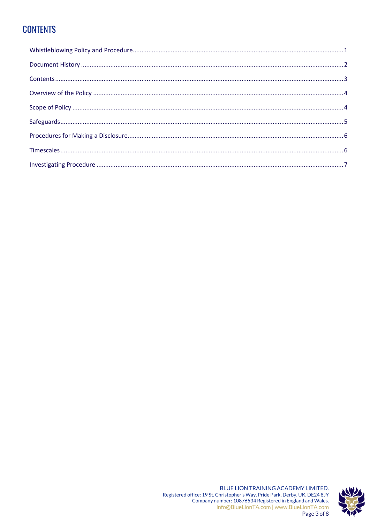# **CONTENTS**

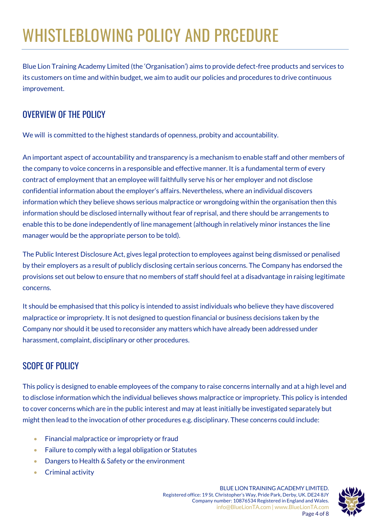# WHISTLEBLOWING POLICY AND PRCEDURE

Blue Lion Training Academy Limited (the 'Organisation') aims to provide defect-free products and services to its customers on time and within budget, we aim to audit our policies and procedures to drive continuous improvement.

# OVERVIEW OF THE POLICY

We will is committed to the highest standards of openness, probity and accountability.

An important aspect of accountability and transparency is a mechanism to enable staff and other members of the company to voice concerns in a responsible and effective manner. It is a fundamental term of every contract of employment that an employee will faithfully serve his or her employer and not disclose confidential information about the employer's affairs. Nevertheless, where an individual discovers information which they believe shows serious malpractice or wrongdoing within the organisation then this information should be disclosed internally without fear of reprisal, and there should be arrangements to enable this to be done independently of line management (although in relatively minor instances the line manager would be the appropriate person to be told).

The Public Interest Disclosure Act, gives legal protection to employees against being dismissed or penalised by their employers as a result of publicly disclosing certain serious concerns. The Company has endorsed the provisions set out below to ensure that no members of staff should feel at a disadvantage in raising legitimate concerns.

It should be emphasised that this policy is intended to assist individuals who believe they have discovered malpractice or impropriety. It is not designed to question financial or business decisions taken by the Company nor should it be used to reconsider any matters which have already been addressed under harassment, complaint, disciplinary or other procedures.

# SCOPE OF POLICY

This policy is designed to enable employees of the company to raise concerns internally and at a high level and to disclose information which the individual believes shows malpractice or impropriety. This policy is intended to cover concerns which are in the public interest and may at least initially be investigated separately but might then lead to the invocation of other procedures e.g. disciplinary. These concerns could include:

- Financial malpractice or impropriety or fraud
- Failure to comply with a legal obligation or Statutes
- Dangers to Health & Safety or the environment
- Criminal activity

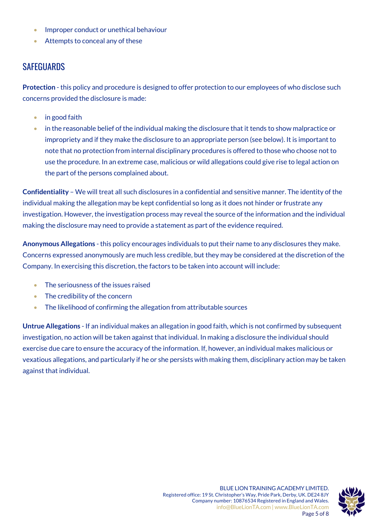- Improper conduct or unethical behaviour
- Attempts to conceal any of these

#### **SAFEGUARDS**

**Protection** - this policy and procedure is designed to offer protection to our employees of who disclose such concerns provided the disclosure is made:

- in good faith
- in the reasonable belief of the individual making the disclosure that it tends to show malpractice or impropriety and if they make the disclosure to an appropriate person (see below). It is important to note that no protection from internal disciplinary procedures is offered to those who choose not to use the procedure. In an extreme case, malicious or wild allegations could give rise to legal action on the part of the persons complained about.

**Confidentiality** – We will treat all such disclosures in a confidential and sensitive manner. The identity of the individual making the allegation may be kept confidential so long as it does not hinder or frustrate any investigation. However, the investigation process may reveal the source of the information and the individual making the disclosure may need to provide a statement as part of the evidence required.

**Anonymous Allegations** - this policy encourages individuals to put their name to any disclosures they make. Concerns expressed anonymously are much less credible, but they may be considered at the discretion of the Company. In exercising this discretion, the factors to be taken into account will include:

- The seriousness of the issues raised
- The credibility of the concern
- The likelihood of confirming the allegation from attributable sources

**Untrue Allegations** - If an individual makes an allegation in good faith, which is not confirmed by subsequent investigation, no action will be taken against that individual. In making a disclosure the individual should exercise due care to ensure the accuracy of the information. If, however, an individual makes malicious or vexatious allegations, and particularly if he or she persists with making them, disciplinary action may be taken against that individual.

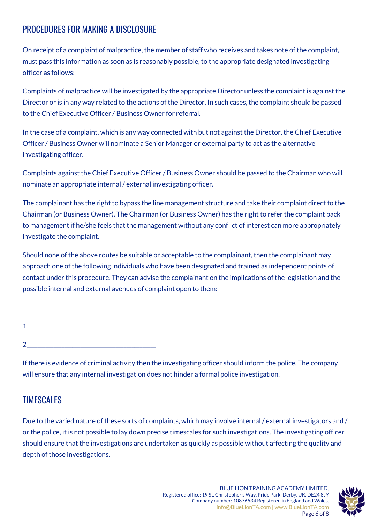## PROCEDURES FOR MAKING A DISCI OSURE

On receipt of a complaint of malpractice, the member of staff who receives and takes note of the complaint, must pass this information as soon as is reasonably possible, to the appropriate designated investigating officer as follows:

Complaints of malpractice will be investigated by the appropriate Director unless the complaint is against the Director or is in any way related to the actions of the Director. In such cases, the complaint should be passed to the Chief Executive Officer / Business Owner for referral.

In the case of a complaint, which is any way connected with but not against the Director, the Chief Executive Officer / Business Owner will nominate a Senior Manager or external party to act as the alternative investigating officer.

Complaints against the Chief Executive Officer / Business Owner should be passed to the Chairman who will nominate an appropriate internal / external investigating officer.

The complainant has the right to bypass the line management structure and take their complaint direct to the Chairman (or Business Owner). The Chairman (or Business Owner) has the right to refer the complaint back to management if he/she feels that the management without any conflict of interest can more appropriately investigate the complaint.

Should none of the above routes be suitable or acceptable to the complainant, then the complainant may approach one of the following individuals who have been designated and trained as independent points of contact under this procedure. They can advise the complainant on the implications of the legislation and the possible internal and external avenues of complaint open to them:

| ۔ |  |  |  |  |
|---|--|--|--|--|
|   |  |  |  |  |

If there is evidence of criminal activity then the investigating officer should inform the police. The company will ensure that any internal investigation does not hinder a formal police investigation.

#### **TIMESCALES**

Due to the varied nature of these sorts of complaints, which may involve internal / external investigators and / or the police, it is not possible to lay down precise timescales for such investigations. The investigating officer should ensure that the investigations are undertaken as quickly as possible without affecting the quality and depth of those investigations.

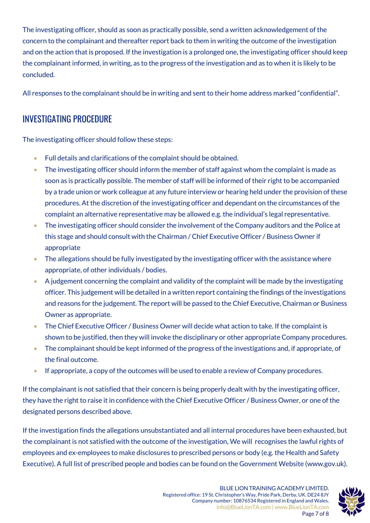The investigating officer, should as soon as practically possible, send a written acknowledgement of the concern to the complainant and thereafter report back to them in writing the outcome of the investigation and on the action that is proposed. If the investigation is a prolonged one, the investigating officer should keep the complainant informed, in writing, as to the progress of the investigation and as to when it is likely to be concluded.

All responses to the complainant should be in writing and sent to their home address marked "confidential".

#### INVESTIGATING PROCEDURE

The investigating officer should follow these steps:

- Full details and clarifications of the complaint should be obtained.
- The investigating officer should inform the member of staff against whom the complaint is made as soon as is practically possible. The member of staff will be informed of their right to be accompanied by a trade union or work colleague at any future interview or hearing held under the provision of these procedures. At the discretion of the investigating officer and dependant on the circumstances of the complaint an alternative representative may be allowed e.g. the individual's legal representative.
- The investigating officer should consider the involvement of the Company auditors and the Police at this stage and should consult with the Chairman / Chief Executive Officer / Business Owner if appropriate
- The allegations should be fully investigated by the investigating officer with the assistance where appropriate, of other individuals / bodies.
- A judgement concerning the complaint and validity of the complaint will be made by the investigating officer. This judgement will be detailed in a written report containing the findings of the investigations and reasons for the judgement. The report will be passed to the Chief Executive, Chairman or Business Owner as appropriate.
- The Chief Executive Officer / Business Owner will decide what action to take. If the complaint is shown to be justified, then they will invoke the disciplinary or other appropriate Company procedures.
- The complainant should be kept informed of the progress of the investigations and, if appropriate, of the final outcome.
- If appropriate, a copy of the outcomes will be used to enable a review of Company procedures.

If the complainant is not satisfied that their concern is being properly dealt with by the investigating officer, they have the right to raise it in confidence with the Chief Executive Officer / Business Owner, or one of the designated persons described above.

If the investigation finds the allegations unsubstantiated and all internal procedures have been exhausted, but the complainant is not satisfied with the outcome of the investigation, We will recognises the lawful rights of employees and ex-employees to make disclosures to prescribed persons or body (e.g. the Health and Safety Executive). A full list of prescribed people and bodies can be found on the Government Website (www.gov.uk).